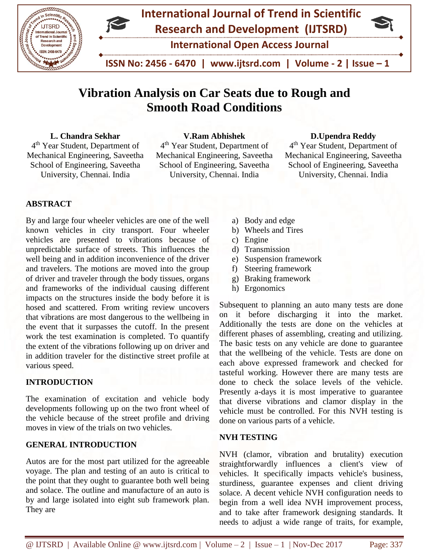



 **ISSN No: 2456 - 6470 | www.ijtsrd.com | Volume - 2 | Issue – 1**

# **Vibration Analysis on Car Seats due to Rough and Smooth Road Conditions**

## **L. Chandra Sekhar**

4 th Year Student, Department of Mechanical Engineering, Saveetha School of Engineering, Saveetha University, Chennai. India

## **V.Ram Abhishek**

4<sup>th</sup> Year Student, Department of Mechanical Engineering, Saveetha School of Engineering, Saveetha University, Chennai. India

#### **D.Upendra Reddy**

4 th Year Student, Department of Mechanical Engineering, Saveetha School of Engineering, Saveetha University, Chennai. India

## **ABSTRACT**

By and large four wheeler vehicles are one of the well known vehicles in city transport. Four wheeler vehicles are presented to vibrations because of unpredictable surface of streets. This influences the well being and in addition inconvenience of the driver and travelers. The motions are moved into the group of driver and traveler through the body tissues, organs and frameworks of the individual causing different impacts on the structures inside the body before it is hosed and scattered. From writing review uncovers that vibrations are most dangerous to the wellbeing in the event that it surpasses the cutoff. In the present work the test examination is completed. To quantify the extent of the vibrations following up on driver and in addition traveler for the distinctive street profile at various speed.

## **INTRODUCTION**

The examination of excitation and vehicle body developments following up on the two front wheel of the vehicle because of the street profile and driving moves in view of the trials on two vehicles.

#### **GENERAL INTRODUCTION**

Autos are for the most part utilized for the agreeable voyage. The plan and testing of an auto is critical to the point that they ought to guarantee both well being and solace. The outline and manufacture of an auto is by and large isolated into eight sub framework plan. They are

- a) Body and edge
- b) Wheels and Tires
- c) Engine
- d) Transmission
- e) Suspension framework
- f) Steering framework
- g) Braking framework
- h) Ergonomics

Subsequent to planning an auto many tests are done on it before discharging it into the market. Additionally the tests are done on the vehicles at different phases of assembling, creating and utilizing. The basic tests on any vehicle are done to guarantee that the wellbeing of the vehicle. Tests are done on each above expressed framework and checked for tasteful working. However there are many tests are done to check the solace levels of the vehicle. Presently a-days it is most imperative to guarantee that diverse vibrations and clamor display in the vehicle must be controlled. For this NVH testing is done on various parts of a vehicle.

#### **NVH TESTING**

NVH (clamor, vibration and brutality) execution straightforwardly influences a client's view of vehicles. It specifically impacts vehicle's business, sturdiness, guarantee expenses and client driving solace. A decent vehicle NVH configuration needs to begin from a well idea NVH improvement process, and to take after framework designing standards. It needs to adjust a wide range of traits, for example,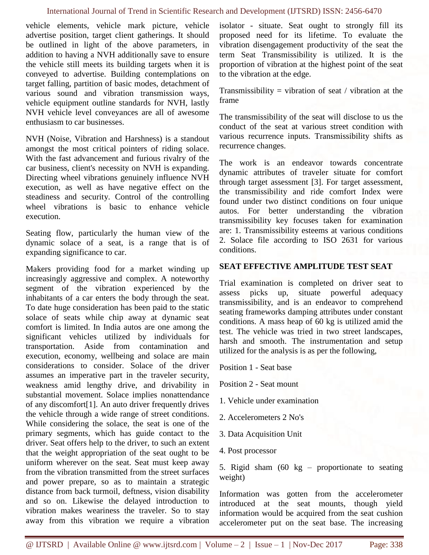#### International Journal of Trend in Scientific Research and Development (IJTSRD) ISSN: 2456-6470

vehicle elements, vehicle mark picture, vehicle advertise position, target client gatherings. It should be outlined in light of the above parameters, in addition to having a NVH additionally save to ensure the vehicle still meets its building targets when it is conveyed to advertise. Building contemplations on target falling, partition of basic modes, detachment of various sound and vibration transmission ways, vehicle equipment outline standards for NVH, lastly NVH vehicle level conveyances are all of awesome enthusiasm to car businesses.

NVH (Noise, Vibration and Harshness) is a standout amongst the most critical pointers of riding solace. With the fast advancement and furious rivalry of the car business, client's necessity on NVH is expanding. Directing wheel vibrations genuinely influence NVH execution, as well as have negative effect on the steadiness and security. Control of the controlling wheel vibrations is basic to enhance vehicle execution.

Seating flow, particularly the human view of the dynamic solace of a seat, is a range that is of expanding significance to car.

Makers providing food for a market winding up increasingly aggressive and complex. A noteworthy segment of the vibration experienced by the inhabitants of a car enters the body through the seat. To date huge consideration has been paid to the static solace of seats while chip away at dynamic seat comfort is limited. In India autos are one among the significant vehicles utilized by individuals for transportation. Aside from contamination and execution, economy, wellbeing and solace are main considerations to consider. Solace of the driver assumes an imperative part in the traveler security, weakness amid lengthy drive, and drivability in substantial movement. Solace implies nonattendance of any discomfort[1]. An auto driver frequently drives the vehicle through a wide range of street conditions. While considering the solace, the seat is one of the primary segments, which has guide contact to the driver. Seat offers help to the driver, to such an extent that the weight appropriation of the seat ought to be uniform wherever on the seat. Seat must keep away from the vibration transmitted from the street surfaces and power prepare, so as to maintain a strategic distance from back turmoil, deftness, vision disability and so on. Likewise the delayed introduction to vibration makes weariness the traveler. So to stay away from this vibration we require a vibration isolator - situate. Seat ought to strongly fill its proposed need for its lifetime. To evaluate the vibration disengagement productivity of the seat the term Seat Transmissibility is utilized. It is the proportion of vibration at the highest point of the seat to the vibration at the edge.

Transmissibility = vibration of seat / vibration at the frame

The transmissibility of the seat will disclose to us the conduct of the seat at various street condition with various recurrence inputs. Transmissibility shifts as recurrence changes.

The work is an endeavor towards concentrate dynamic attributes of traveler situate for comfort through target assessment [3]. For target assessment, the transmissibility and ride comfort Index were found under two distinct conditions on four unique autos. For better understanding the vibration transmissibility key focuses taken for examination are: 1. Transmissibility esteems at various conditions 2. Solace file according to ISO 2631 for various conditions.

#### **SEAT EFFECTIVE AMPLITUDE TEST SEAT**

Trial examination is completed on driver seat to assess picks up, situate powerful adequacy transmissibility, and is an endeavor to comprehend seating frameworks damping attributes under constant conditions. A mass heap of 60 kg is utilized amid the test. The vehicle was tried in two street landscapes, harsh and smooth. The instrumentation and setup utilized for the analysis is as per the following,

Position 1 - Seat base

Position 2 - Seat mount

- 1. Vehicle under examination
- 2. Accelerometers 2 No's
- 3. Data Acquisition Unit
- 4. Post processor

5. Rigid sham (60 kg – proportionate to seating weight)

Information was gotten from the accelerometer introduced at the seat mounts, though yield information would be acquired from the seat cushion accelerometer put on the seat base. The increasing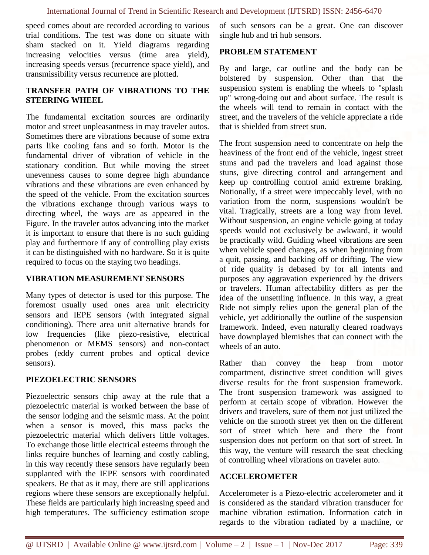speed comes about are recorded according to various trial conditions. The test was done on situate with sham stacked on it. Yield diagrams regarding increasing velocities versus (time area yield), increasing speeds versus (recurrence space yield), and transmissibility versus recurrence are plotted.

## **TRANSFER PATH OF VIBRATIONS TO THE STEERING WHEEL**

The fundamental excitation sources are ordinarily motor and street unpleasantness in may traveler autos. Sometimes there are vibrations because of some extra parts like cooling fans and so forth. Motor is the fundamental driver of vibration of vehicle in the stationary condition. But while moving the street unevenness causes to some degree high abundance vibrations and these vibrations are even enhanced by the speed of the vehicle. From the excitation sources the vibrations exchange through various ways to directing wheel, the ways are as appeared in the Figure. In the traveler autos advancing into the market it is important to ensure that there is no such guiding play and furthermore if any of controlling play exists it can be distinguished with no hardware. So it is quite required to focus on the staying two headings.

#### **VIBRATION MEASUREMENT SENSORS**

Many types of detector is used for this purpose. The foremost usually used ones area unit electricity sensors and IEPE sensors (with integrated signal conditioning). There area unit alternative brands for low frequencies (like piezo-resistive, electrical phenomenon or MEMS sensors) and non-contact probes (eddy current probes and optical device sensors).

## **PIEZOELECTRIC SENSORS**

Piezoelectric sensors chip away at the rule that a piezoelectric material is worked between the base of the sensor lodging and the seismic mass. At the point when a sensor is moved, this mass packs the piezoelectric material which delivers little voltages. To exchange those little electrical esteems through the links require bunches of learning and costly cabling, in this way recently these sensors have regularly been supplanted with the IEPE sensors with coordinated speakers. Be that as it may, there are still applications regions where these sensors are exceptionally helpful. These fields are particularly high increasing speed and high temperatures. The sufficiency estimation scope of such sensors can be a great. One can discover single hub and tri hub sensors.

## **PROBLEM STATEMENT**

By and large, car outline and the body can be bolstered by suspension. Other than that the suspension system is enabling the wheels to "splash up" wrong-doing out and about surface. The result is the wheels will tend to remain in contact with the street, and the travelers of the vehicle appreciate a ride that is shielded from street stun.

The front suspension need to concentrate on help the heaviness of the front end of the vehicle, ingest street stuns and pad the travelers and load against those stuns, give directing control and arrangement and keep up controlling control amid extreme braking. Notionally, if a street were impeccably level, with no variation from the norm, suspensions wouldn't be vital. Tragically, streets are a long way from level. Without suspension, an engine vehicle going at today speeds would not exclusively be awkward, it would be practically wild. Guiding wheel vibrations are seen when vehicle speed changes, as when beginning from a quit, passing, and backing off or drifting. The view of ride quality is debased by for all intents and purposes any aggravation experienced by the drivers or travelers. Human affectability differs as per the idea of the unsettling influence. In this way, a great Ride not simply relies upon the general plan of the vehicle, yet additionally the outline of the suspension framework. Indeed, even naturally cleared roadways have downplayed blemishes that can connect with the wheels of an auto.

Rather than convey the heap from motor compartment, distinctive street condition will gives diverse results for the front suspension framework. The front suspension framework was assigned to perform at certain scope of vibration. However the drivers and travelers, sure of them not just utilized the vehicle on the smooth street yet then on the different sort of street which here and there the front suspension does not perform on that sort of street. In this way, the venture will research the seat checking of controlling wheel vibrations on traveler auto.

#### **ACCELEROMETER**

Accelerometer is a Piezo-electric accelerometer and it is considered as the standard vibration transducer for machine vibration estimation. Information catch in regards to the vibration radiated by a machine, or